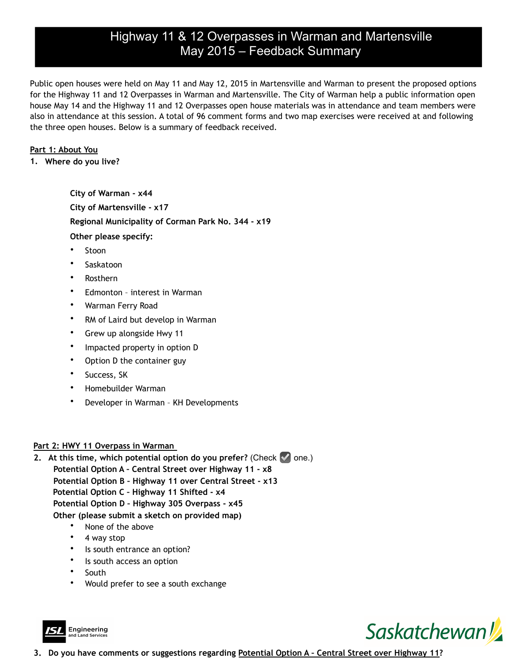# Highway 11 & 12 Overpasses in Warman and Martensville May 2015 – Feedback Summary

Public open houses were held on May 11 and May 12, 2015 in Martensville and Warman to present the proposed options for the Highway 11 and 12 Overpasses in Warman and Martensville. The City of Warman help a public information open house May 14 and the Highway 11 and 12 Overpasses open house materials was in attendance and team members were also in attendance at this session. A total of 96 comment forms and two map exercises were received at and following the three open houses. Below is a summary of feedback received.

### **Part 1: About You**

**1. Where do you live?** 

**City of Warman - x44 City of Martensville - x17 Regional Municipality of Corman Park No. 344 - x19 Other please specify:**

- **Stoon**
- Saskatoon
- Rosthern
- Edmonton interest in Warman
- Warman Ferry Road
- RM of Laird but develop in Warman
- Grew up alongside Hwy 11
- Impacted property in option D
- Option D the container guy
- Success, SK
- Homebuilder Warman
- Developer in Warman KH Developments

## **Part 2: HWY 11 Overpass in Warman**

- **2. At this time, which potential option do you prefer?** (Check ☑ one.) **Potential Option A – Central Street over Highway 11 - x8 Potential Option B – Highway 11 over Central Street - x13 Potential Option C – Highway 11 Shifted - x4 Potential Option D – Highway 305 Overpass - x45 Other (please submit a sketch on provided map)** 
	- None of the above
	- 4 way stop
	- Is south entrance an option?
	- Is south access an option
	- **South**
	- Would prefer to see a south exchange





**3. Do you have comments or suggestions regarding Potential Option A – Central Street over Highway 11?**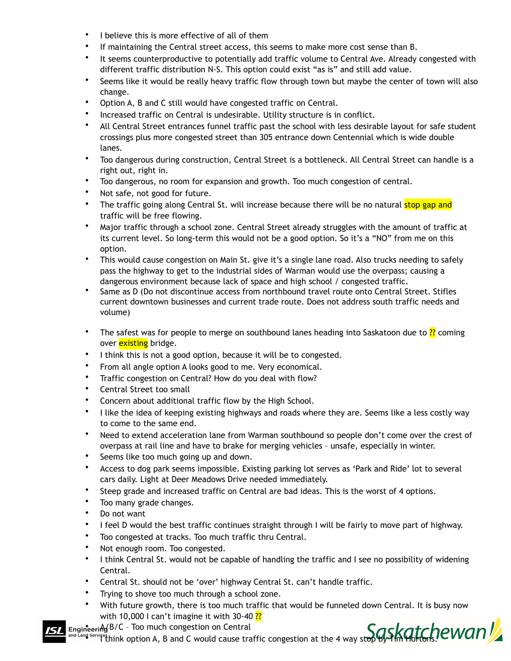- I believe this is more effective of all of them
- If maintaining the Central street access, this seems to make more cost sense than B.
- It seems counterproductive to potentially add traffic volume to Central Ave. Already congested with different traffic distribution N-S. This option could exist "as is" and still add value.
- Seems like it would be really heavy traffic flow through town but maybe the center of town will also change.
- Option A, B and C still would have congested traffic on Central.
- Increased traffic on Central is undesirable. Utility structure is in conflict.
- All Central Street entrances funnel traffic past the school with less desirable layout for safe student crossings plus more congested street than 305 entrance down Centennial which is wide double lanes.
- Too dangerous during construction, Central Street is a bottleneck. All Central Street can handle is a right out, right in.
- Too dangerous, no room for expansion and growth. Too much congestion of central.
- Not safe, not good for future.
- The traffic going along Central St. will increase because there will be no natural stop gap and traffic will be free flowing.
- Major traffic through a school zone. Central Street already struggles with the amount of traffic at its current level. So long-term this would not be a good option. So it's a "NO" from me on this option.
- This would cause congestion on Main St. give it's a single lane road. Also trucks needing to safely pass the highway to get to the industrial sides of Warman would use the overpass; causing a dangerous environment because lack of space and high school / congested traffic.
- Same as D (Do not discontinue access from northbound travel route onto Central Street. Stifles current downtown businesses and current trade route. Does not address south traffic needs and volume)
- The safest was for people to merge on southbound lanes heading into Saskatoon due to  $\frac{22}{12}$  coming over **existing** bridge.
- I think this is not a good option, because it will be to congested.
- From all angle option A looks good to me. Very economical.
- Traffic congestion on Central? How do you deal with flow?
- Central Street too small
- Concern about additional traffic flow by the High School.
- I like the idea of keeping existing highways and roads where they are. Seems like a less costly way to come to the same end.
- Need to extend acceleration lane from Warman southbound so people don't come over the crest of overpass at rail line and have to brake for merging vehicles – unsafe, especially in winter.
- Seems like too much going up and down.
- Access to dog park seems impossible. Existing parking lot serves as 'Park and Ride' lot to several cars daily. Light at Deer Meadows Drive needed immediately.
- Steep grade and increased traffic on Central are bad ideas. This is the worst of 4 options.
- Too many grade changes.
- Do not want
- I feel D would the best traffic continues straight through I will be fairly to move part of highway.
- Too congested at tracks. Too much traffic thru Central.
- Not enough room. Too congested.
- I think Central St. would not be capable of handling the traffic and I see no possibility of widening Central.
- Central St. should not be 'over' highway Central St. can't handle traffic.
- Trying to shove too much through a school zone.
- With future growth, there is too much traffic that would be funneled down Central. It is busy now with 10,000 I can't imagine it with 30-40 $\frac{??}{?}$

eering B/C - Too much congestion on Central

• If think option A, B and C would cause traffic congestion at the 4 way st<del>op by Tim Hortons.</del>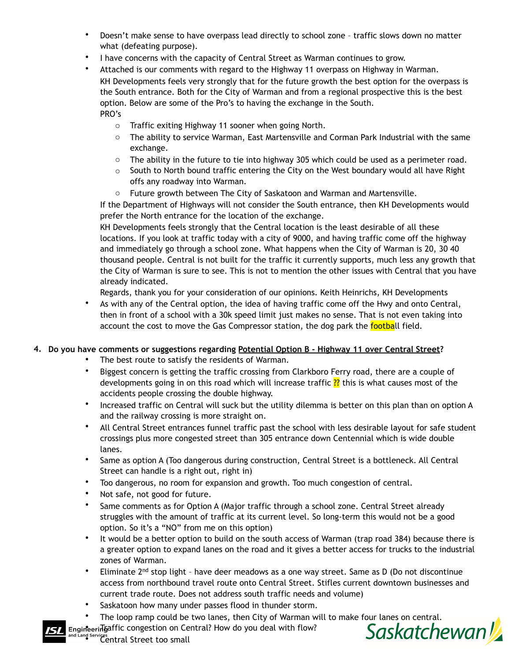- Doesn't make sense to have overpass lead directly to school zone traffic slows down no matter what (defeating purpose).
- I have concerns with the capacity of Central Street as Warman continues to grow.
- Attached is our comments with regard to the Highway 11 overpass on Highway in Warman. KH Developments feels very strongly that for the future growth the best option for the overpass is the South entrance. Both for the City of Warman and from a regional prospective this is the best option. Below are some of the Pro's to having the exchange in the South. PRO's
	- o Traffic exiting Highway 11 sooner when going North.
	- o The ability to service Warman, East Martensville and Corman Park Industrial with the same exchange.
	- $\circ$  The ability in the future to tie into highway 305 which could be used as a perimeter road.
	- $\circ$  South to North bound traffic entering the City on the West boundary would all have Right offs any roadway into Warman.
	- o Future growth between The City of Saskatoon and Warman and Martensville.

If the Department of Highways will not consider the South entrance, then KH Developments would prefer the North entrance for the location of the exchange.

KH Developments feels strongly that the Central location is the least desirable of all these locations. If you look at traffic today with a city of 9000, and having traffic come off the highway and immediately go through a school zone. What happens when the City of Warman is 20, 30 40 thousand people. Central is not built for the traffic it currently supports, much less any growth that the City of Warman is sure to see. This is not to mention the other issues with Central that you have already indicated.

Regards, thank you for your consideration of our opinions. Keith Heinrichs, KH Developments

• As with any of the Central option, the idea of having traffic come off the Hwy and onto Central, then in front of a school with a 30k speed limit just makes no sense. That is not even taking into account the cost to move the Gas Compressor station, the dog park the football field.

## **4. Do you have comments or suggestions regarding Potential Option B - Highway 11 over Central Street?**

- The best route to satisfy the residents of Warman.
- Biggest concern is getting the traffic crossing from Clarkboro Ferry road, there are a couple of developments going in on this road which will increase traffic ?? this is what causes most of the accidents people crossing the double highway.
- Increased traffic on Central will suck but the utility dilemma is better on this plan than on option A and the railway crossing is more straight on.
- All Central Street entrances funnel traffic past the school with less desirable layout for safe student crossings plus more congested street than 305 entrance down Centennial which is wide double lanes.
- Same as option A (Too dangerous during construction, Central Street is a bottleneck. All Central Street can handle is a right out, right in)
- Too dangerous, no room for expansion and growth. Too much congestion of central.
- Not safe, not good for future.
- Same comments as for Option A (Major traffic through a school zone. Central Street already struggles with the amount of traffic at its current level. So long-term this would not be a good option. So it's a "NO" from me on this option)
- It would be a better option to build on the south access of Warman (trap road 384) because there is a greater option to expand lanes on the road and it gives a better access for trucks to the industrial zones of Warman.
- Eliminate 2<sup>nd</sup> stop light have deer meadows as a one way street. Same as D (Do not discontinue access from northbound travel route onto Central Street. Stifles current downtown businesses and current trade route. Does not address south traffic needs and volume)
- Saskatoon how many under passes flood in thunder storm.
- 
- The loop ramp could be two lanes, then City of Warman will to make four lanes on central.<br>
Hight congestion on Central? How do you deal with flow?<br>
Central Street too small Engineeringaffic congestion on Central? How do you deal with flow?



and Land Services<br>Central Street too small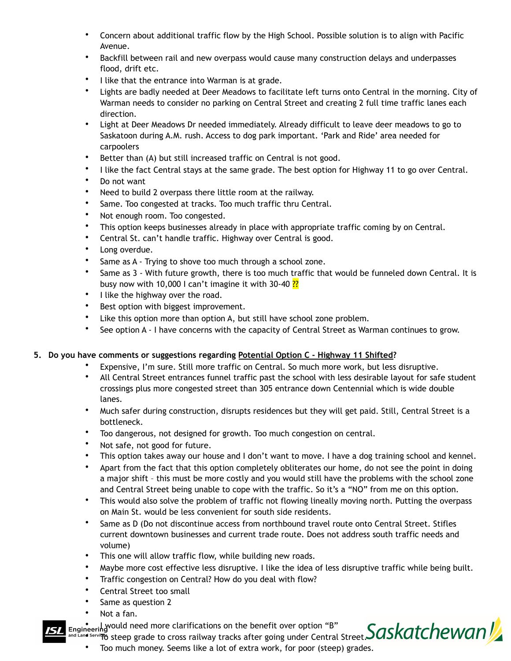- Concern about additional traffic flow by the High School. Possible solution is to align with Pacific Avenue.
- Backfill between rail and new overpass would cause many construction delays and underpasses flood, drift etc.
- I like that the entrance into Warman is at grade.
- Lights are badly needed at Deer Meadows to facilitate left turns onto Central in the morning. City of Warman needs to consider no parking on Central Street and creating 2 full time traffic lanes each direction.
- Light at Deer Meadows Dr needed immediately. Already difficult to leave deer meadows to go to Saskatoon during A.M. rush. Access to dog park important. 'Park and Ride' area needed for carpoolers
- Better than (A) but still increased traffic on Central is not good.
- I like the fact Central stays at the same grade. The best option for Highway 11 to go over Central.
- Do not want
- Need to build 2 overpass there little room at the railway.
- Same. Too congested at tracks. Too much traffic thru Central.
- Not enough room. Too congested.
- This option keeps businesses already in place with appropriate traffic coming by on Central.
- Central St. can't handle traffic. Highway over Central is good.
- Long overdue.
- Same as A Trying to shove too much through a school zone.
- Same as 3 With future growth, there is too much traffic that would be funneled down Central. It is busy now with 10,000 I can't imagine it with 30-40  $\frac{?2}{?}$
- I like the highway over the road.
- Best option with biggest improvement.
- Like this option more than option A, but still have school zone problem.
- See option A I have concerns with the capacity of Central Street as Warman continues to grow.

## **5. Do you have comments or suggestions regarding Potential Option C - Highway 11 Shifted?**

- Expensive, I'm sure. Still more traffic on Central. So much more work, but less disruptive.
- All Central Street entrances funnel traffic past the school with less desirable layout for safe student crossings plus more congested street than 305 entrance down Centennial which is wide double lanes.
- Much safer during construction, disrupts residences but they will get paid. Still, Central Street is a bottleneck.
- Too dangerous, not designed for growth. Too much congestion on central.
- Not safe, not good for future.
- This option takes away our house and I don't want to move. I have a dog training school and kennel.
- Apart from the fact that this option completely obliterates our home, do not see the point in doing a major shift – this must be more costly and you would still have the problems with the school zone and Central Street being unable to cope with the traffic. So it's a "NO" from me on this option.
- This would also solve the problem of traffic not flowing lineally moving north. Putting the overpass on Main St. would be less convenient for south side residents.
- Same as D (Do not discontinue access from northbound travel route onto Central Street. Stifles current downtown businesses and current trade route. Does not address south traffic needs and volume)
- This one will allow traffic flow, while building new roads.
- Maybe more cost effective less disruptive. I like the idea of less disruptive traffic while being built.
- Traffic congestion on Central? How do you deal with flow?
- Central Street too small
- Same as question 2
- Not a fan.
- **Engineering** Yould need more clarifications on the benefit over option "B"



• Too much money. Seems like a lot of extra work, for poor (steep) grades.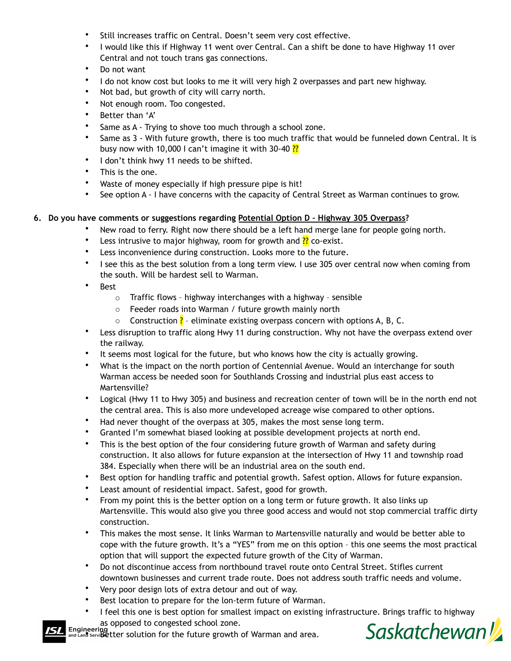- Still increases traffic on Central. Doesn't seem very cost effective.
- I would like this if Highway 11 went over Central. Can a shift be done to have Highway 11 over Central and not touch trans gas connections.
- Do not want
- I do not know cost but looks to me it will very high 2 overpasses and part new highway.
- Not bad, but growth of city will carry north.
- Not enough room. Too congested.
- Better than 'A'
- Same as A Trying to shove too much through a school zone.
- Same as 3 With future growth, there is too much traffic that would be funneled down Central. It is busy now with 10,000 I can't imagine it with 30-40  $\frac{?2}{?}$
- I don't think hwy 11 needs to be shifted.
- This is the one.
- Waste of money especially if high pressure pipe is hit!
- See option A I have concerns with the capacity of Central Street as Warman continues to grow.

#### **6. Do you have comments or suggestions regarding Potential Option D – Highway 305 Overpass?**

- New road to ferry. Right now there should be a left hand merge lane for people going north.
- Less intrusive to major highway, room for growth and  $\frac{??}{?}$  co-exist.
- Less inconvenience during construction. Looks more to the future.
- I see this as the best solution from a long term view. I use 305 over central now when coming from the south. Will be hardest sell to Warman.
- Best
	- o Traffic flows highway interchanges with a highway sensible
	- o Feeder roads into Warman / future growth mainly north
	- $\circ$  Construction ? eliminate existing overpass concern with options A, B, C.
- Less disruption to traffic along Hwy 11 during construction. Why not have the overpass extend over the railway.
- It seems most logical for the future, but who knows how the city is actually growing.
- What is the impact on the north portion of Centennial Avenue. Would an interchange for south Warman access be needed soon for Southlands Crossing and industrial plus east access to Martensville?
- Logical (Hwy 11 to Hwy 305) and business and recreation center of town will be in the north end not the central area. This is also more undeveloped acreage wise compared to other options.
- Had never thought of the overpass at 305, makes the most sense long term.
- Granted I'm somewhat biased looking at possible development projects at north end.
- This is the best option of the four considering future growth of Warman and safety during construction. It also allows for future expansion at the intersection of Hwy 11 and township road 384. Especially when there will be an industrial area on the south end.
- Best option for handling traffic and potential growth. Safest option. Allows for future expansion.
- Least amount of residential impact. Safest, good for growth.
- From my point this is the better option on a long term or future growth. It also links up Martensville. This would also give you three good access and would not stop commercial traffic dirty construction.
- This makes the most sense. It links Warman to Martensville naturally and would be better able to cope with the future growth. It's a "YES" from me on this option – this one seems the most practical option that will support the expected future growth of the City of Warman.
- Do not discontinue access from northbound travel route onto Central Street. Stifles current downtown businesses and current trade route. Does not address south traffic needs and volume.
- Very poor design lots of extra detour and out of way.
- Best location to prepare for the lon-term future of Warman.
- I feel this one is best option for smallest impact on existing infrastructure. Brings traffic to highway as opposed to congested school zone. Saskatchewan

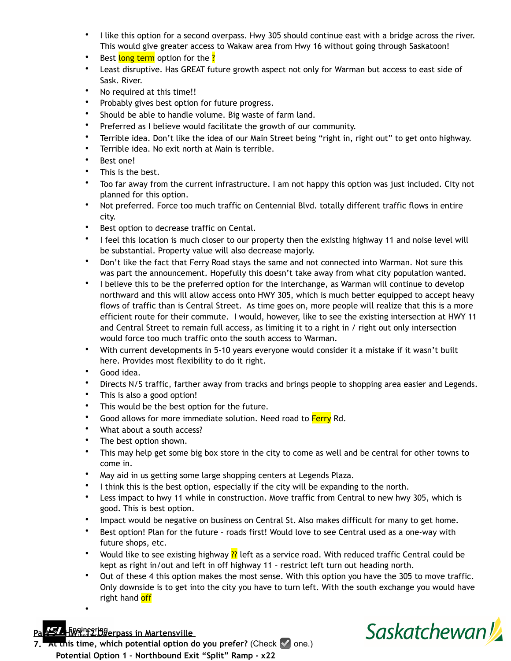- I like this option for a second overpass. Hwy 305 should continue east with a bridge across the river. This would give greater access to Wakaw area from Hwy 16 without going through Saskatoon!
- Best long term option for the ?
- Least disruptive. Has GREAT future growth aspect not only for Warman but access to east side of Sask. River.
- No required at this time!!
- Probably gives best option for future progress.
- Should be able to handle volume. Big waste of farm land.
- Preferred as I believe would facilitate the growth of our community.
- Terrible idea. Don't like the idea of our Main Street being "right in, right out" to get onto highway.
- Terrible idea. No exit north at Main is terrible.
- Best one!
- This is the best.
- Too far away from the current infrastructure. I am not happy this option was just included. City not planned for this option.
- Not preferred. Force too much traffic on Centennial Blvd. totally different traffic flows in entire city.
- Best option to decrease traffic on Cental.
- I feel this location is much closer to our property then the existing highway 11 and noise level will be substantial. Property value will also decrease majorly.
- Don't like the fact that Ferry Road stays the same and not connected into Warman. Not sure this was part the announcement. Hopefully this doesn't take away from what city population wanted.
- I believe this to be the preferred option for the interchange, as Warman will continue to develop northward and this will allow access onto HWY 305, which is much better equipped to accept heavy flows of traffic than is Central Street. As time goes on, more people will realize that this is a more efficient route for their commute. I would, however, like to see the existing intersection at HWY 11 and Central Street to remain full access, as limiting it to a right in / right out only intersection would force too much traffic onto the south access to Warman.
- With current developments in 5-10 years everyone would consider it a mistake if it wasn't built here. Provides most flexibility to do it right.
- Good idea.
- Directs N/S traffic, farther away from tracks and brings people to shopping area easier and Legends.
- This is also a good option!
- This would be the best option for the future.
- Good allows for more immediate solution. Need road to Ferry Rd.
- What about a south access?
- The best option shown.
- This may help get some big box store in the city to come as well and be central for other towns to come in.
- May aid in us getting some large shopping centers at Legends Plaza.
- I think this is the best option, especially if the city will be expanding to the north.
- Less impact to hwy 11 while in construction. Move traffic from Central to new hwy 305, which is good. This is best option.
- Impact would be negative on business on Central St. Also makes difficult for many to get home.
- Best option! Plan for the future roads first! Would love to see Central used as a one-way with future shops, etc.
- Would like to see existing highway ?? left as a service road. With reduced traffic Central could be kept as right in/out and left in off highway 11 – restrict left turn out heading north.
- Out of these 4 this option makes the most sense. With this option you have the 305 to move traffic. Only downside is to get into the city you have to turn left. With the south exchange you would have right hand off



•



**7. At this time, which potential option do you prefer?** (Check ☑ one.) **Potential Option 1 – Northbound Exit "Split" Ramp - x22**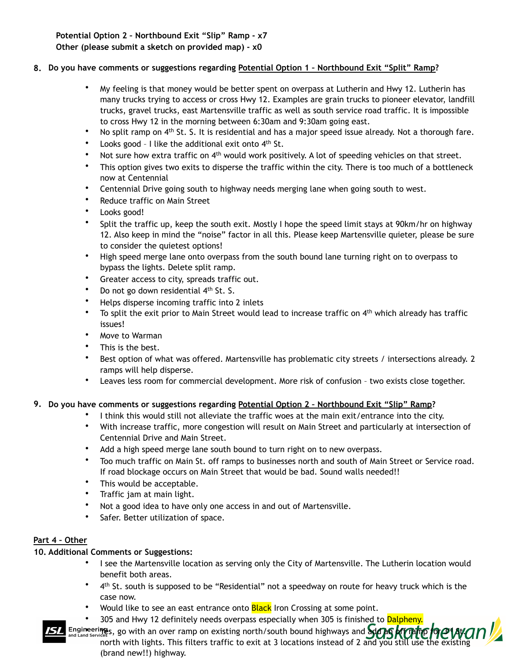**Potential Option 2 – Northbound Exit "Slip" Ramp - x7 Other (please submit a sketch on provided map) - x0** 

## **8. Do you have comments or suggestions regarding Potential Option 1 – Northbound Exit "Split" Ramp?**

- My feeling is that money would be better spent on overpass at Lutherin and Hwy 12. Lutherin has many trucks trying to access or cross Hwy 12. Examples are grain trucks to pioneer elevator, landfill trucks, gravel trucks, east Martensville traffic as well as south service road traffic. It is impossible to cross Hwy 12 in the morning between 6:30am and 9:30am going east.
- No split ramp on 4<sup>th</sup> St. S. It is residential and has a major speed issue already. Not a thorough fare.
- Looks good I like the additional exit onto  $4<sup>th</sup>$  St.
- Not sure how extra traffic on 4<sup>th</sup> would work positively. A lot of speeding vehicles on that street.
- This option gives two exits to disperse the traffic within the city. There is too much of a bottleneck now at Centennial
- Centennial Drive going south to highway needs merging lane when going south to west.
- Reduce traffic on Main Street
- Looks good!
- Split the traffic up, keep the south exit. Mostly I hope the speed limit stays at 90km/hr on highway 12. Also keep in mind the "noise" factor in all this. Please keep Martensville quieter, please be sure to consider the quietest options!
- High speed merge lane onto overpass from the south bound lane turning right on to overpass to bypass the lights. Delete split ramp.
- Greater access to city, spreads traffic out.
- Do not go down residential 4<sup>th</sup> St. S.
- Helps disperse incoming traffic into 2 inlets
- To split the exit prior to Main Street would lead to increase traffic on 4<sup>th</sup> which already has traffic issues!
- Move to Warman
- This is the best.
- Best option of what was offered. Martensville has problematic city streets / intersections already. 2 ramps will help disperse.
- Leaves less room for commercial development. More risk of confusion two exists close together.

#### **9. Do you have comments or suggestions regarding Potential Option 2 – Northbound Exit "Slip" Ramp?**

- I think this would still not alleviate the traffic woes at the main exit/entrance into the city.
- With increase traffic, more congestion will result on Main Street and particularly at intersection of Centennial Drive and Main Street.
- Add a high speed merge lane south bound to turn right on to new overpass.
- Too much traffic on Main St. off ramps to businesses north and south of Main Street or Service road. If road blockage occurs on Main Street that would be bad. Sound walls needed!!
- This would be acceptable.
- Traffic jam at main light.
- Not a good idea to have only one access in and out of Martensville.
- Safer. Better utilization of space.

#### **Part 4 – Other**

#### **10. Additional Comments or Suggestions:**

- I see the Martensville location as serving only the City of Martensville. The Lutherin location would benefit both areas.
- 4th St. south is supposed to be "Residential" not a speedway on route for heavy truck which is the case now.
- Would like to see an east entrance onto **Black** Iron Crossing at some point.
- 305 and Hwy 12 definitely needs overpass especially when 305 is finished to Dalpheny.
- Engineerings, go with an over ramp on existing north/south bound highways and  $\frac{d}{dA}$  of  $\frac{d}{dA}$  or  $\frac{d}{dA}$ north with lights. This filters traffic to exit at 3 locations instead of 2 and you still use the existing (brand new!!) highway.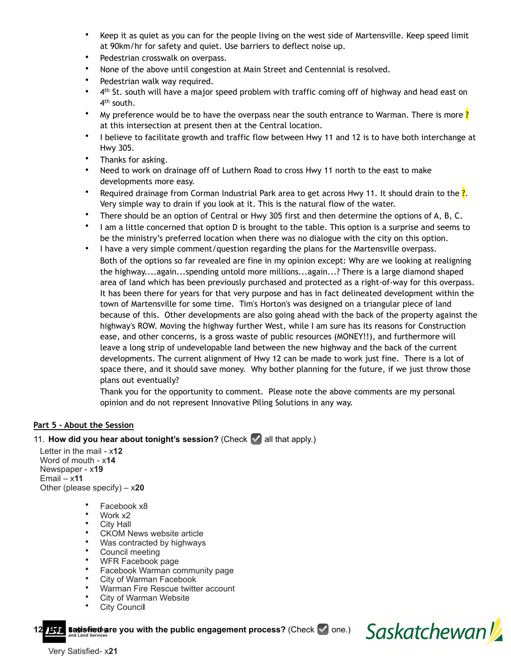- Keep it as quiet as you can for the people living on the west side of Martensville. Keep speed limit at 90km/hr for safety and quiet. Use barriers to deflect noise up.
- Pedestrian crosswalk on overpass.
- None of the above until congestion at Main Street and Centennial is resolved.
- Pedestrian walk way required.
- 4<sup>th</sup> St. south will have a major speed problem with traffic coming off of highway and head east on 4<sup>th</sup> south.
- My preference would be to have the overpass near the south entrance to Warman. There is more  $\frac{?}{?}$ at this intersection at present then at the Central location.
- I believe to facilitate growth and traffic flow between Hwy 11 and 12 is to have both interchange at Hwy 305.
- Thanks for asking.
- Need to work on drainage off of Luthern Road to cross Hwy 11 north to the east to make developments more easy.
- Required drainage from Corman Industrial Park area to get across Hwy 11. It should drain to the  $\frac{?}{.}$ Very simple way to drain if you look at it. This is the natural flow of the water.
- There should be an option of Central or Hwy 305 first and then determine the options of A, B, C.
- I am a little concerned that option D is brought to the table. This option is a surprise and seems to be the ministry's preferred location when there was no dialogue with the city on this option.
- I have a very simple comment/question regarding the plans for the Martensville overpass. Both of the options so far revealed are fine in my opinion except: Why are we looking at realigning the highway....again...spending untold more millions...again...? There is a large diamond shaped area of land which has been previously purchased and protected as a right-of-way for this overpass. It has been there for years for that very purpose and has in fact delineated development within the town of Martensville for some time. Tim's Horton's was designed on a triangular piece of land because of this. Other developments are also going ahead with the back of the property against the highway's ROW. Moving the highway further West, while I am sure has its reasons for Construction ease, and other concerns, is a gross waste of public resources (MONEY!!), and furthermore will leave a long strip of undevelopable land between the new highway and the back of the current developments. The current alignment of Hwy 12 can be made to work just fine. There is a lot of space there, and it should save money. Why bother planning for the future, if we just throw those plans out eventually?

Thank you for the opportunity to comment. Please note the above comments are my personal opinion and do not represent Innovative Piling Solutions in any way.

## **Part 5 - About the Session**

## 11. **How did you hear about tonight's session?** (Check ☑ all that apply.)

 Letter in the mail - x**12** Word of mouth - x**<sup>14</sup>** Newspaper - x**19** Email – x**11**  Other (please specify) – x**20** 

- Facebook x8
- Work x2
- City Hall
- CKOM News website article
- Was contracted by highways
- Council meeting
- WFR Facebook page
- Facebook Warman community page
- City of Warman Facebook
- Warman Fire Rescue twitter account
- City of Warman Website
- City Counci**l**

**Easisfied are you with the public engagement process? (Check √ one.)** 



Very Satisfied- x**21**